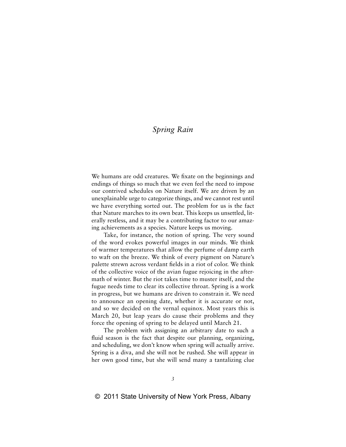# *Spring Rain*

We humans are odd creatures. We fixate on the beginnings and endings of things so much that we even feel the need to impose our contrived schedules on Nature itself. We are driven by an unexplainable urge to categorize things, and we cannot rest until we have everything sorted out. The problem for us is the fact that Nature marches to its own beat. This keeps us unsettled, literally restless, and it may be a contributing factor to our amazing achievements as a species. Nature keeps us moving.

Take, for instance, the notion of spring. The very sound of the word evokes powerful images in our minds. We think of warmer temperatures that allow the perfume of damp earth to waft on the breeze. We think of every pigment on Nature's palette strewn across verdant fields in a riot of color. We think of the collective voice of the avian fugue rejoicing in the aftermath of winter. But the riot takes time to muster itself, and the fugue needs time to clear its collective throat. Spring is a work in progress, but we humans are driven to constrain it. We need to announce an opening date, whether it is accurate or not, and so we decided on the vernal equinox. Most years this is March 20, but leap years do cause their problems and they force the opening of spring to be delayed until March 21.

The problem with assigning an arbitrary date to such a fluid season is the fact that despite our planning, organizing, and scheduling, we don't know when spring will actually arrive. Spring is a diva, and she will not be rushed. She will appear in her own good time, but she will send many a tantalizing clue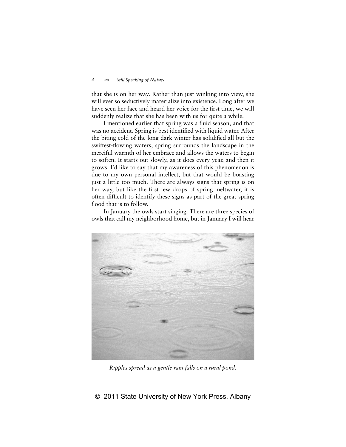#### *Still Speaking of Nature*

that she is on her way. Rather than just winking into view, she will ever so seductively materialize into existence. Long after we have seen her face and heard her voice for the first time, we will suddenly realize that she has been with us for quite a while.

I mentioned earlier that spring was a fluid season, and that was no accident. Spring is best identified with liquid water. After the biting cold of the long dark winter has solidified all but the swiftest-flowing waters, spring surrounds the landscape in the merciful warmth of her embrace and allows the waters to begin to soften. It starts out slowly, as it does every year, and then it grows. I'd like to say that my awareness of this phenomenon is due to my own personal intellect, but that would be boasting just a little too much. There are always signs that spring is on her way, but like the first few drops of spring meltwater, it is often difficult to identify these signs as part of the great spring flood that is to follow.

In January the owls start singing. There are three species of owls that call my neighborhood home, but in January I will hear



*Ripples spread as a gentle rain falls on a rural pond.*

## © 2011 State University of New York Press, Albany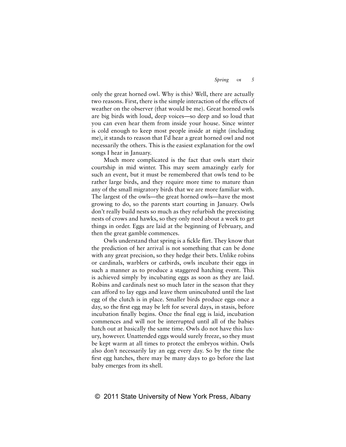only the great horned owl. Why is this? Well, there are actually two reasons. First, there is the simple interaction of the effects of weather on the observer (that would be me). Great horned owls are big birds with loud, deep voices—so deep and so loud that you can even hear them from inside your house. Since winter is cold enough to keep most people inside at night (including me), it stands to reason that I'd hear a great horned owl and not necessarily the others. This is the easiest explanation for the owl songs I hear in January.

Much more complicated is the fact that owls start their courtship in mid winter. This may seem amazingly early for such an event, but it must be remembered that owls tend to be rather large birds, and they require more time to mature than any of the small migratory birds that we are more familiar with. The largest of the owls—the great horned owls—have the most growing to do, so the parents start courting in January. Owls don't really build nests so much as they refurbish the preexisting nests of crows and hawks, so they only need about a week to get things in order. Eggs are laid at the beginning of February, and then the great gamble commences.

Owls understand that spring is a fickle flirt. They know that the prediction of her arrival is not something that can be done with any great precision, so they hedge their bets. Unlike robins or cardinals, warblers or catbirds, owls incubate their eggs in such a manner as to produce a staggered hatching event. This is achieved simply by incubating eggs as soon as they are laid. Robins and cardinals nest so much later in the season that they can afford to lay eggs and leave them unincubated until the last egg of the clutch is in place. Smaller birds produce eggs once a day, so the first egg may be left for several days, in stasis, before incubation finally begins. Once the final egg is laid, incubation commences and will not be interrupted until all of the babies hatch out at basically the same time. Owls do not have this luxury, however. Unattended eggs would surely freeze, so they must be kept warm at all times to protect the embryos within. Owls also don't necessarily lay an egg every day. So by the time the first egg hatches, there may be many days to go before the last baby emerges from its shell.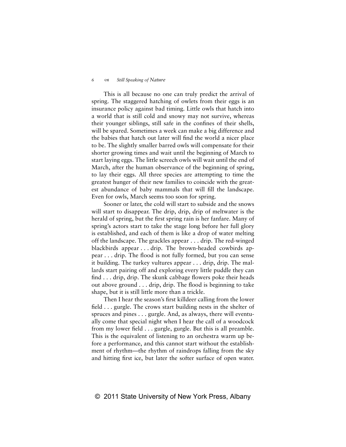### **6** *cg Still Speaking of Nature*

This is all because no one can truly predict the arrival of spring. The staggered hatching of owlets from their eggs is an insurance policy against bad timing. Little owls that hatch into a world that is still cold and snowy may not survive, whereas their younger siblings, still safe in the confines of their shells, will be spared. Sometimes a week can make a big difference and the babies that hatch out later will find the world a nicer place to be. The slightly smaller barred owls will compensate for their shorter growing times and wait until the beginning of March to start laying eggs. The little screech owls will wait until the end of March, after the human observance of the beginning of spring, to lay their eggs. All three species are attempting to time the greatest hunger of their new families to coincide with the greatest abundance of baby mammals that will fill the landscape. Even for owls, March seems too soon for spring.

Sooner or later, the cold will start to subside and the snows will start to disappear. The drip, drip, drip of meltwater is the herald of spring, but the first spring rain is her fanfare. Many of spring's actors start to take the stage long before her full glory is established, and each of them is like a drop of water melting off the landscape. The grackles appear . . . drip. The red-winged blackbirds appear . . . drip. The brown-headed cowbirds appear . . . drip. The flood is not fully formed, but you can sense it building. The turkey vultures appear . . . drip, drip. The mallards start pairing off and exploring every little puddle they can find . . . drip, drip. The skunk cabbage flowers poke their heads out above ground . . . drip, drip. The flood is beginning to take shape, but it is still little more than a trickle.

Then I hear the season's first killdeer calling from the lower field . . . gurgle. The crows start building nests in the shelter of spruces and pines . . . gurgle. And, as always, there will eventually come that special night when I hear the call of a woodcock from my lower field . . . gurgle, gurgle. But this is all preamble. This is the equivalent of listening to an orchestra warm up before a performance, and this cannot start without the establishment of rhythm—the rhythm of raindrops falling from the sky and hitting first ice, but later the softer surface of open water.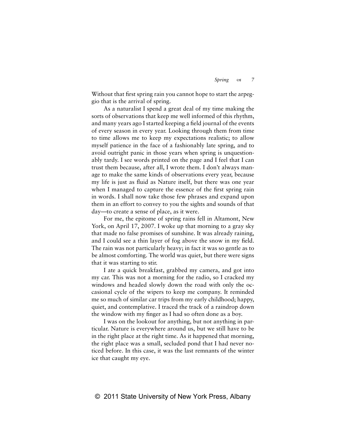Without that first spring rain you cannot hope to start the arpeggio that is the arrival of spring.

As a naturalist I spend a great deal of my time making the sorts of observations that keep me well informed of this rhythm, and many years ago I started keeping a field journal of the events of every season in every year. Looking through them from time to time allows me to keep my expectations realistic; to allow myself patience in the face of a fashionably late spring, and to avoid outright panic in those years when spring is unquestionably tardy. I see words printed on the page and I feel that I can trust them because, after all, I wrote them. I don't always manage to make the same kinds of observations every year, because my life is just as fluid as Nature itself, but there was one year when I managed to capture the essence of the first spring rain in words. I shall now take those few phrases and expand upon them in an effort to convey to you the sights and sounds of that day—to create a sense of place, as it were.

For me, the epitome of spring rains fell in Altamont, New York, on April 17, 2007. I woke up that morning to a gray sky that made no false promises of sunshine. It was already raining, and I could see a thin layer of fog above the snow in my field. The rain was not particularly heavy; in fact it was so gentle as to be almost comforting. The world was quiet, but there were signs that it was starting to stir.

I ate a quick breakfast, grabbed my camera, and got into my car. This was not a morning for the radio, so I cracked my windows and headed slowly down the road with only the occasional cycle of the wipers to keep me company. It reminded me so much of similar car trips from my early childhood; happy, quiet, and contemplative. I traced the track of a raindrop down the window with my finger as I had so often done as a boy.

I was on the lookout for anything, but not anything in particular. Nature is everywhere around us, but we still have to be in the right place at the right time. As it happened that morning, the right place was a small, secluded pond that I had never noticed before. In this case, it was the last remnants of the winter ice that caught my eye.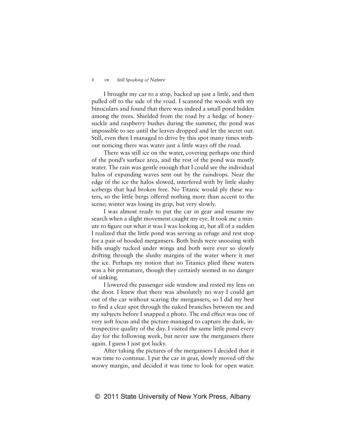### 8 *C<sub>8</sub> Still Speaking of Nature*

I brought my car to a stop, backed up just a little, and then pulled off to the side of the road. I scanned the woods with my binoculars and found that there was indeed a small pond hidden among the trees. Shielded from the road by a hedge of honeysuckle and raspberry bushes during the summer, the pond was impossible to see until the leaves dropped and let the secret out. Still, even then I managed to drive by this spot many times without noticing there was water just a little ways off the road.

There was still ice on the water, covering perhaps one third of the pond's surface area, and the rest of the pond was mostly water. The rain was gentle enough that I could see the individual halos of expanding waves sent out by the raindrops. Near the edge of the ice the halos slowed, interfered with by little slushy icebergs that had broken free. No Titanic would ply these waters, so the little bergs offered nothing more than accent to the scene; winter was losing its grip, but very slowly.

I was almost ready to put the car in gear and resume my search when a slight movement caught my eye. It took me a minute to figure out what it was I was looking at, but all of a sudden I realized that the little pond was serving as refuge and rest stop for a pair of hooded mergansers. Both birds were snoozing with bills snugly tucked under wings and both were ever so slowly drifting through the slushy margins of the water where it met the ice. Perhaps my notion that no Titanics plied these waters was a bit premature, though they certainly seemed in no danger of sinking.

I lowered the passenger side window and rested my lens on the door. I knew that there was absolutely no way I could get out of the car without scaring the mergansers, so I did my best to find a clear spot through the naked branches between me and my subjects before I snapped a photo. The end effect was one of very soft focus and the picture managed to capture the dark, introspective quality of the day. I visited the same little pond every day for the following week, but never saw the mergansers there again. I guess I just got lucky.

After taking the pictures of the mergansers I decided that it was time to continue. I put the car in gear, slowly moved off the snowy margin, and decided it was time to look for open water.